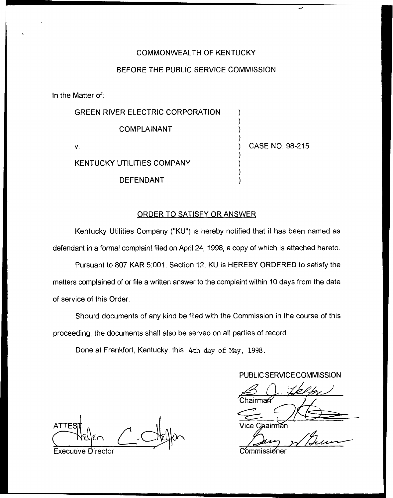## COMMONWEALTH OF KENTUCKY

## BEFORE THE PUBLIC SERVICE COMMISSION

In the Matter of:

| <b>GREEN RIVER ELECTRIC CORPORATION</b> |                 |
|-----------------------------------------|-----------------|
| COMPLAINANT                             |                 |
| v                                       | CASE NO. 98-215 |
| <b>KENTUCKY UTILITIES COMPANY</b>       |                 |
| <b>DEFENDANT</b>                        |                 |

## ORDER TO SATISFY OR ANSWER

Kentucky Utilities Company ("KU") is hereby notified that it has been named as defendant in a forrnal complaint filed on April 24, 1998, a copy of which is attached hereto.

Pursuant to 807 KAR 5:001, Section 12, KU is HEREBY ORDERED to satisfy the matters complained of or file a written answer to the complaint within 10 days from the date of service of this Order.

Should documents of any kind be filed with the Commission in the course of this proceeding, the documents shall also be served on all parties of record.

Done at Frankfort, Kentucky, this 4th day of Nay, 1998.

PUBLIC SERVICE COMMISSION

**ATTES** 

Executive Director **Commission**er **Commissioner** 

Vice C :hairman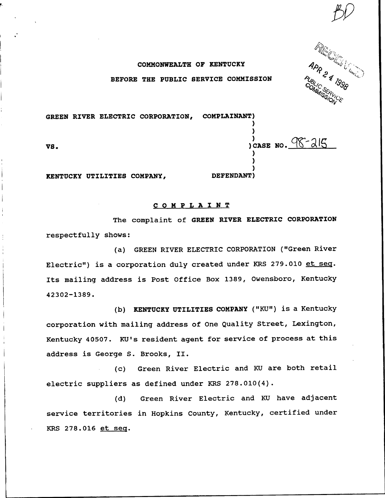**RIE (SERVICE)** 

## COMMONWEALTH OF KENTUCKY BEFORE THE PUBLIC SERVICE COMMISSION

GREEN RIVER ELECTRIC CORPORATION, COMPLAINANT) ) ) ) CASE NO.  $98 - 215$ VS. ) ) ) KENTUCKY UTILITIES COMPANY, DEFENDANT )

COMPLAlNT

The complaint of GREEN RIVER ELECTRIC CORPORATION respectfully shows:

(a) GREEN RIVER ELECTRIC CORPORATION ("Green River Electric") is a corporation duly created under KRS 279.010 et seq. Its mailing address is Post Office Box 1389, Owensboro, Kentucky 42302-1389.

(b) KENTUCKY UTILITIES COMPANY ("KU") is <sup>a</sup> Kentucky corporation with mailing address of One Quality Street, Lexington, Kentucky 40507. KU's resident agent for service of process at this address is George S. Brooks, II.

(c) Green River Electric and KU are both retail electric suppliers as defined under KRS 278.010(4).

(d) Green River Electric and KU have adjacent service territories in Hopkins County, Kentucky, certified under KRS 278.016 et seer.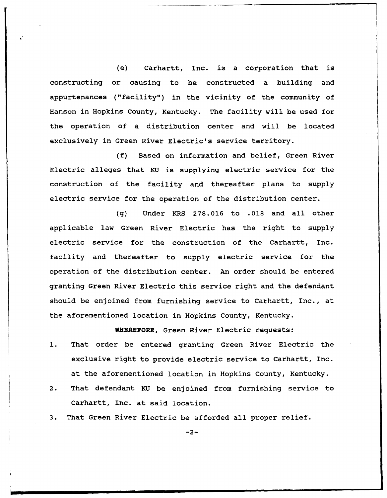(e) Carhartt, Inc. is a corporation that is constructing or causing to be constructed a building and appurtenances ("facility") in the vicinity of the community of Hanson in Hopkins County, Kentucky. The facility will be used for the operation of a distribution center and will be located exclusively in Green River Electric's service territory.

(f) Based on information and belief, Green River Electric alleges that KU is supplying electric service for the construction of the facility and thereafter plans to supply electric service for the operation of the distribution center.

(g) Under KRS 278.016 to .018 and all other applicable law Green River Electric has the right to supply electric service for the construction of the Carhartt, Inc. facility and thereafter to supply electric service for the operation of the distribution center. An order should be entered granting Green River Electric this service right and the defendant should be enjoined from furnishing service to Carhartt, Inc., at. the aforementioned location in Hopkins County, Kentucky.

WHEREFORE, Green River Electric requests:

- 1. That order be entered granting Green River Electric the exclusive right to provide electric service to Carhartt, Inc. at the aforementioned location in Hopkins County, Kentucky.
- 2. That defendant KU be enjoined from furnishing service to Carhartt, Inc. at said location.
- 3. That Green River Electric be afforded all proper relief.

 $-2-$